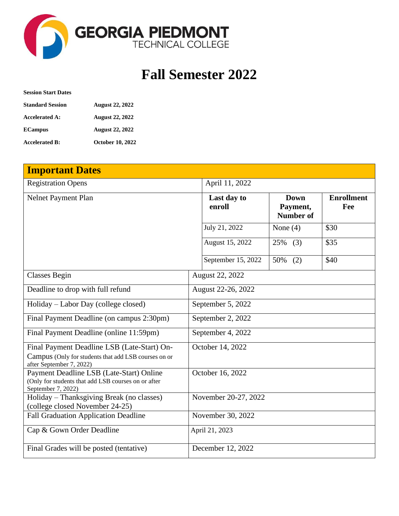

## **Fall Semester 2022**

| <b>Session Start Dates</b> |                         |
|----------------------------|-------------------------|
| <b>Standard Session</b>    | <b>August 22, 2022</b>  |
| <b>Accelerated A:</b>      | <b>August 22, 2022</b>  |
| <b>ECampus</b>             | <b>August 22, 2022</b>  |
| <b>Accelerated B:</b>      | <b>October 10, 2022</b> |

| <b>Important Dates</b>                                                                                                          |                   |                       |                                             |                          |
|---------------------------------------------------------------------------------------------------------------------------------|-------------------|-----------------------|---------------------------------------------|--------------------------|
| <b>Registration Opens</b>                                                                                                       |                   | April 11, 2022        |                                             |                          |
| <b>Nelnet Payment Plan</b>                                                                                                      |                   | Last day to<br>enroll | <b>Down</b><br>Payment,<br><b>Number of</b> | <b>Enrollment</b><br>Fee |
|                                                                                                                                 |                   | July 21, 2022         | None $(4)$                                  | \$30                     |
|                                                                                                                                 |                   | August 15, 2022       | 25%<br>(3)                                  | \$35                     |
|                                                                                                                                 |                   | September 15, 2022    | 50%<br>(2)                                  | \$40                     |
| <b>Classes Begin</b>                                                                                                            |                   | August 22, 2022       |                                             |                          |
| Deadline to drop with full refund                                                                                               |                   | August 22-26, 2022    |                                             |                          |
| Holiday – Labor Day (college closed)                                                                                            | September 5, 2022 |                       |                                             |                          |
| Final Payment Deadline (on campus 2:30pm)                                                                                       |                   | September 2, 2022     |                                             |                          |
| Final Payment Deadline (online 11:59pm)                                                                                         |                   | September 4, 2022     |                                             |                          |
| Final Payment Deadline LSB (Late-Start) On-<br>Campus (Only for students that add LSB courses on or<br>after September 7, 2022) | October 14, 2022  |                       |                                             |                          |
| Payment Deadline LSB (Late-Start) Online<br>(Only for students that add LSB courses on or after<br>September 7, 2022)           | October 16, 2022  |                       |                                             |                          |
| Holiday - Thanksgiving Break (no classes)<br>(college closed November 24-25)                                                    |                   | November 20-27, 2022  |                                             |                          |
| <b>Fall Graduation Application Deadline</b>                                                                                     |                   | November 30, 2022     |                                             |                          |
| Cap & Gown Order Deadline                                                                                                       |                   | April 21, 2023        |                                             |                          |
| Final Grades will be posted (tentative)                                                                                         |                   | December 12, 2022     |                                             |                          |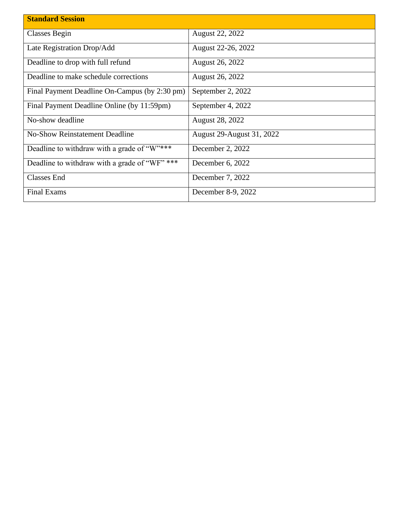| <b>Standard Session</b>                       |                                  |  |
|-----------------------------------------------|----------------------------------|--|
|                                               |                                  |  |
| Classes Begin                                 | <b>August 22, 2022</b>           |  |
| Late Registration Drop/Add                    | August 22-26, 2022               |  |
| Deadline to drop with full refund             | <b>August 26, 2022</b>           |  |
| Deadline to make schedule corrections         | <b>August 26, 2022</b>           |  |
| Final Payment Deadline On-Campus (by 2:30 pm) | September 2, 2022                |  |
| Final Payment Deadline Online (by 11:59pm)    | September 4, 2022                |  |
| No-show deadline                              | <b>August 28, 2022</b>           |  |
| <b>No-Show Reinstatement Deadline</b>         | <b>August 29-August 31, 2022</b> |  |
| Deadline to withdraw with a grade of "W"***   | December 2, 2022                 |  |
| Deadline to withdraw with a grade of "WF" *** | December 6, 2022                 |  |
| <b>Classes End</b>                            | December 7, 2022                 |  |
| <b>Final Exams</b>                            | December 8-9, 2022               |  |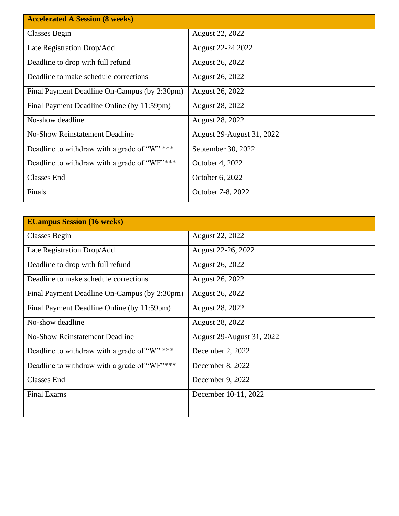| <b>Accelerated A Session (8 weeks)</b>       |                           |
|----------------------------------------------|---------------------------|
| Classes Begin                                | August 22, 2022           |
| Late Registration Drop/Add                   | August 22-24 2022         |
| Deadline to drop with full refund            | August 26, 2022           |
| Deadline to make schedule corrections        | August 26, 2022           |
| Final Payment Deadline On-Campus (by 2:30pm) | <b>August 26, 2022</b>    |
| Final Payment Deadline Online (by 11:59pm)   | <b>August 28, 2022</b>    |
| No-show deadline                             | <b>August 28, 2022</b>    |
| <b>No-Show Reinstatement Deadline</b>        | August 29-August 31, 2022 |
| Deadline to withdraw with a grade of "W" *** | September 30, 2022        |
| Deadline to withdraw with a grade of "WF"*** | October 4, 2022           |
| <b>Classes End</b>                           | October 6, 2022           |
| Finals                                       | October 7-8, 2022         |

| <b>ECampus Session (16 weeks)</b>            |                                  |
|----------------------------------------------|----------------------------------|
| Classes Begin                                | August 22, 2022                  |
| Late Registration Drop/Add                   | August 22-26, 2022               |
| Deadline to drop with full refund            | August 26, 2022                  |
| Deadline to make schedule corrections        | August 26, 2022                  |
| Final Payment Deadline On-Campus (by 2:30pm) | August 26, 2022                  |
| Final Payment Deadline Online (by 11:59pm)   | August 28, 2022                  |
| No-show deadline                             | <b>August 28, 2022</b>           |
| <b>No-Show Reinstatement Deadline</b>        | <b>August 29-August 31, 2022</b> |
| Deadline to withdraw with a grade of "W" *** | December 2, 2022                 |
| Deadline to withdraw with a grade of "WF"*** | December 8, 2022                 |
| <b>Classes End</b>                           | December 9, 2022                 |
| <b>Final Exams</b>                           | December 10-11, 2022             |
|                                              |                                  |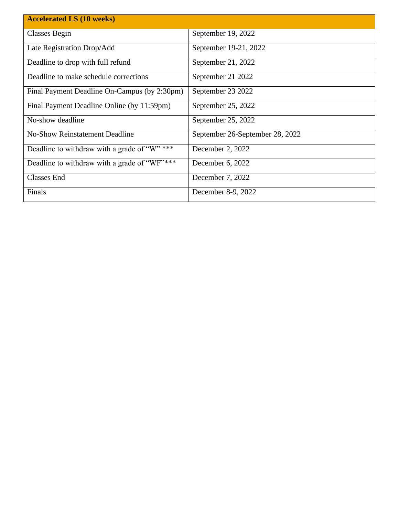| <b>Accelerated LS (10 weeks)</b>             |                                 |
|----------------------------------------------|---------------------------------|
| Classes Begin                                | September 19, 2022              |
|                                              |                                 |
| Late Registration Drop/Add                   | September 19-21, 2022           |
| Deadline to drop with full refund            | September 21, 2022              |
|                                              |                                 |
| Deadline to make schedule corrections        | September 21 2022               |
| Final Payment Deadline On-Campus (by 2:30pm) | September 23 2022               |
| Final Payment Deadline Online (by 11:59pm)   | September 25, 2022              |
|                                              |                                 |
| No-show deadline                             | September 25, 2022              |
| <b>No-Show Reinstatement Deadline</b>        | September 26-September 28, 2022 |
|                                              |                                 |
| Deadline to withdraw with a grade of "W" *** | December 2, 2022                |
| Deadline to withdraw with a grade of "WF"*** | December 6, 2022                |
|                                              |                                 |
| <b>Classes End</b>                           | December 7, 2022                |
| Finals                                       | December 8-9, 2022              |
|                                              |                                 |